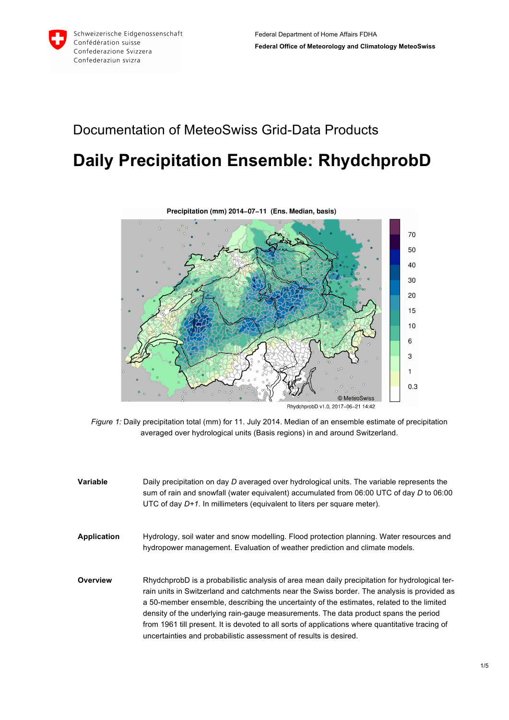# Documentation of MeteoSwiss Grid-Data Products **Daily Precipitation Ensemble: RhydchprobD**

## Precipitation (mm) 2014-07-11 (Ens. Median, basis) 70 50 40 30 20 15  $10$ 6 3  $\mathbf{1}$  $0.3$ © MetêoSwiss

RhydchprobD v1.0, 2017-06-21 14:42

*Figure 1:* Daily precipitation total (mm) for 11. July 2014. Median of an ensemble estimate of precipitation averaged over hydrological units (Basis regions) in and around Switzerland.

**Variable** Daily precipitation on day *D* averaged over hydrological units. The variable represents the sum of rain and snowfall (water equivalent) accumulated from 06:00 UTC of day *D* to 06:00 UTC of day *D+1*. In millimeters (equivalent to liters per square meter). **Application** Hydrology, soil water and snow modelling. Flood protection planning. Water resources and hydropower management. Evaluation of weather prediction and climate models. **Overview** RhydchprobD is a probabilistic analysis of area mean daily precipitation for hydrological terrain units in Switzerland and catchments near the Swiss border. The analysis is provided as a 50-member ensemble, describing the uncertainty of the estimates, related to the limited density of the underlying rain-gauge measurements. The data product spans the period from 1961 till present. It is devoted to all sorts of applications where quantitative tracing of uncertainties and probabilistic assessment of results is desired.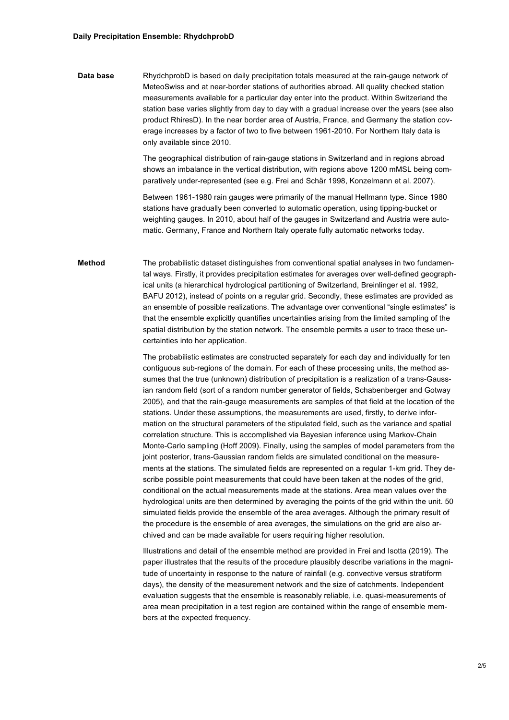**Data base** RhydchprobD is based on daily precipitation totals measured at the rain-gauge network of MeteoSwiss and at near-border stations of authorities abroad. All quality checked station measurements available for a particular day enter into the product. Within Switzerland the station base varies slightly from day to day with a gradual increase over the years (see also product RhiresD). In the near border area of Austria, France, and Germany the station coverage increases by a factor of two to five between 1961-2010. For Northern Italy data is only available since 2010.

> The geographical distribution of rain-gauge stations in Switzerland and in regions abroad shows an imbalance in the vertical distribution, with regions above 1200 mMSL being comparatively under-represented (see e.g. Frei and Schär 1998, Konzelmann et al. 2007).

> Between 1961-1980 rain gauges were primarily of the manual Hellmann type. Since 1980 stations have gradually been converted to automatic operation, using tipping-bucket or weighting gauges. In 2010, about half of the gauges in Switzerland and Austria were automatic. Germany, France and Northern Italy operate fully automatic networks today.

**Method** The probabilistic dataset distinguishes from conventional spatial analyses in two fundamental ways. Firstly, it provides precipitation estimates for averages over well-defined geographical units (a hierarchical hydrological partitioning of Switzerland, Breinlinger et al. 1992, BAFU 2012), instead of points on a regular grid. Secondly, these estimates are provided as an ensemble of possible realizations. The advantage over conventional "single estimates" is that the ensemble explicitly quantifies uncertainties arising from the limited sampling of the spatial distribution by the station network. The ensemble permits a user to trace these uncertainties into her application.

> The probabilistic estimates are constructed separately for each day and individually for ten contiguous sub-regions of the domain. For each of these processing units, the method assumes that the true (unknown) distribution of precipitation is a realization of a trans-Gaussian random field (sort of a random number generator of fields, Schabenberger and Gotway 2005), and that the rain-gauge measurements are samples of that field at the location of the stations. Under these assumptions, the measurements are used, firstly, to derive information on the structural parameters of the stipulated field, such as the variance and spatial correlation structure. This is accomplished via Bayesian inference using Markov-Chain Monte-Carlo sampling (Hoff 2009). Finally, using the samples of model parameters from the joint posterior, trans-Gaussian random fields are simulated conditional on the measurements at the stations. The simulated fields are represented on a regular 1-km grid. They describe possible point measurements that could have been taken at the nodes of the grid, conditional on the actual measurements made at the stations. Area mean values over the hydrological units are then determined by averaging the points of the grid within the unit. 50 simulated fields provide the ensemble of the area averages. Although the primary result of the procedure is the ensemble of area averages, the simulations on the grid are also archived and can be made available for users requiring higher resolution.

> Illustrations and detail of the ensemble method are provided in Frei and Isotta (2019). The paper illustrates that the results of the procedure plausibly describe variations in the magnitude of uncertainty in response to the nature of rainfall (e.g. convective versus stratiform days), the density of the measurement network and the size of catchments. Independent evaluation suggests that the ensemble is reasonably reliable, i.e. quasi-measurements of area mean precipitation in a test region are contained within the range of ensemble members at the expected frequency.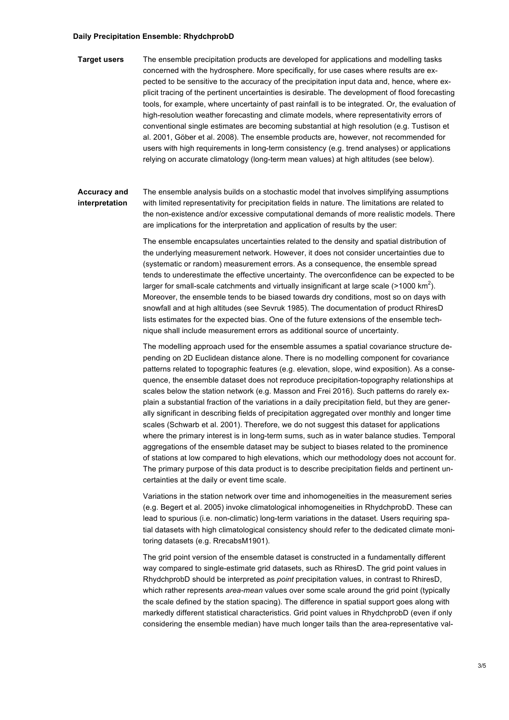### **Daily Precipitation Ensemble: RhydchprobD**

**Target users** The ensemble precipitation products are developed for applications and modelling tasks concerned with the hydrosphere. More specifically, for use cases where results are expected to be sensitive to the accuracy of the precipitation input data and, hence, where explicit tracing of the pertinent uncertainties is desirable. The development of flood forecasting tools, for example, where uncertainty of past rainfall is to be integrated. Or, the evaluation of high-resolution weather forecasting and climate models, where representativity errors of conventional single estimates are becoming substantial at high resolution (e.g. Tustison et al. 2001, Göber et al. 2008). The ensemble products are, however, not recommended for users with high requirements in long-term consistency (e.g. trend analyses) or applications relying on accurate climatology (long-term mean values) at high altitudes (see below).

#### **Accuracy and interpretation** The ensemble analysis builds on a stochastic model that involves simplifying assumptions with limited representativity for precipitation fields in nature. The limitations are related to the non-existence and/or excessive computational demands of more realistic models. There are implications for the interpretation and application of results by the user:

The ensemble encapsulates uncertainties related to the density and spatial distribution of the underlying measurement network. However, it does not consider uncertainties due to (systematic or random) measurement errors. As a consequence, the ensemble spread tends to underestimate the effective uncertainty. The overconfidence can be expected to be larger for small-scale catchments and virtually insignificant at large scale (>1000 km<sup>2</sup>). Moreover, the ensemble tends to be biased towards dry conditions, most so on days with snowfall and at high altitudes (see Sevruk 1985). The documentation of product RhiresD lists estimates for the expected bias. One of the future extensions of the ensemble technique shall include measurement errors as additional source of uncertainty.

The modelling approach used for the ensemble assumes a spatial covariance structure depending on 2D Euclidean distance alone. There is no modelling component for covariance patterns related to topographic features (e.g. elevation, slope, wind exposition). As a consequence, the ensemble dataset does not reproduce precipitation-topography relationships at scales below the station network (e.g. Masson and Frei 2016). Such patterns do rarely explain a substantial fraction of the variations in a daily precipitation field, but they are generally significant in describing fields of precipitation aggregated over monthly and longer time scales (Schwarb et al. 2001). Therefore, we do not suggest this dataset for applications where the primary interest is in long-term sums, such as in water balance studies. Temporal aggregations of the ensemble dataset may be subject to biases related to the prominence of stations at low compared to high elevations, which our methodology does not account for. The primary purpose of this data product is to describe precipitation fields and pertinent uncertainties at the daily or event time scale.

Variations in the station network over time and inhomogeneities in the measurement series (e.g. Begert et al. 2005) invoke climatological inhomogeneities in RhydchprobD. These can lead to spurious (i.e. non-climatic) long-term variations in the dataset. Users requiring spatial datasets with high climatological consistency should refer to the dedicated climate monitoring datasets (e.g. RrecabsM1901).

The grid point version of the ensemble dataset is constructed in a fundamentally different way compared to single-estimate grid datasets, such as RhiresD. The grid point values in RhydchprobD should be interpreted as *point* precipitation values, in contrast to RhiresD, which rather represents *area-mean* values over some scale around the grid point (typically the scale defined by the station spacing). The difference in spatial support goes along with markedly different statistical characteristics. Grid point values in RhydchprobD (even if only considering the ensemble median) have much longer tails than the area-representative val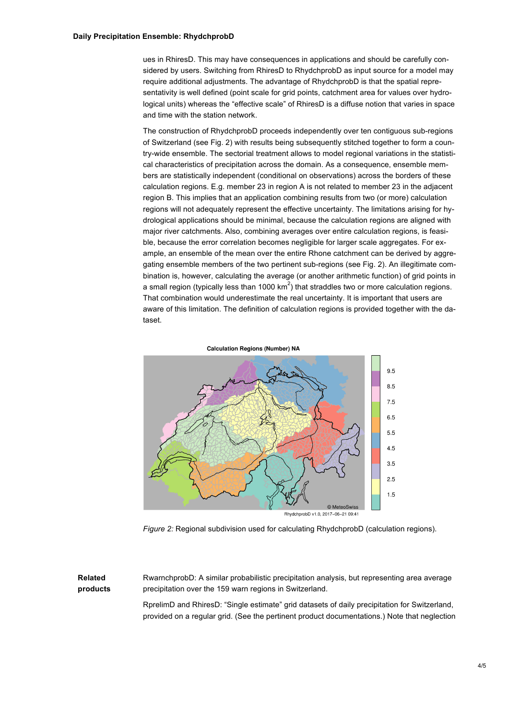ues in RhiresD. This may have consequences in applications and should be carefully considered by users. Switching from RhiresD to RhydchprobD as input source for a model may require additional adjustments. The advantage of RhydchprobD is that the spatial representativity is well defined (point scale for grid points, catchment area for values over hydrological units) whereas the "effective scale" of RhiresD is a diffuse notion that varies in space and time with the station network.

The construction of RhydchprobD proceeds independently over ten contiguous sub-regions of Switzerland (see Fig. 2) with results being subsequently stitched together to form a country-wide ensemble. The sectorial treatment allows to model regional variations in the statistical characteristics of precipitation across the domain. As a consequence, ensemble members are statistically independent (conditional on observations) across the borders of these calculation regions. E.g. member 23 in region A is not related to member 23 in the adjacent region B. This implies that an application combining results from two (or more) calculation regions will not adequately represent the effective uncertainty. The limitations arising for hydrological applications should be minimal, because the calculation regions are aligned with major river catchments. Also, combining averages over entire calculation regions, is feasible, because the error correlation becomes negligible for larger scale aggregates. For example, an ensemble of the mean over the entire Rhone catchment can be derived by aggregating ensemble members of the two pertinent sub-regions (see Fig. 2). An illegitimate combination is, however, calculating the average (or another arithmetic function) of grid points in a small region (typically less than 1000  $km^2$ ) that straddles two or more calculation regions. That combination would underestimate the real uncertainty. It is important that users are aware of this limitation. The definition of calculation regions is provided together with the dataset.





**Related products** RwarnchprobD: A similar probabilistic precipitation analysis, but representing area average precipitation over the 159 warn regions in Switzerland.

> RprelimD and RhiresD: "Single estimate" grid datasets of daily precipitation for Switzerland, provided on a regular grid. (See the pertinent product documentations.) Note that neglection